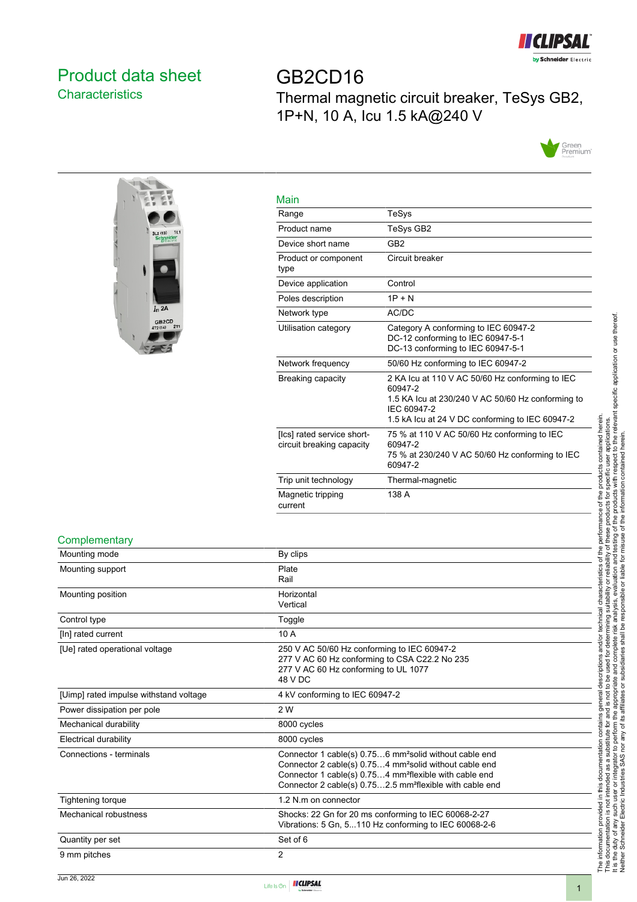

## <span id="page-0-0"></span>Product data sheet **Characteristics**

GB2CD16 Thermal magnetic circuit breaker, TeSys GB2, 1P+N, 10 A, Icu 1.5 kA@240 V





| Main                                                    |                                                                                                                                |
|---------------------------------------------------------|--------------------------------------------------------------------------------------------------------------------------------|
| Range                                                   | TeSys                                                                                                                          |
| Product name                                            | TeSys GB2                                                                                                                      |
| Device short name                                       | GB <sub>2</sub>                                                                                                                |
| Product or component<br>type                            | Circuit breaker                                                                                                                |
| Device application                                      | Control                                                                                                                        |
| Poles description                                       | $1P + N$                                                                                                                       |
| Network type                                            | AC/DC                                                                                                                          |
| Utilisation category                                    | Category A conforming to IEC 60947-2<br>DC-12 conforming to IEC 60947-5-1<br>DC-13 conforming to IEC 60947-5-1                 |
| Network frequency                                       | 50/60 Hz conforming to IEC 60947-2                                                                                             |
| Breaking capacity                                       | 2 KA Icu at 110 V AC 50/60 Hz conforming to IEC<br>60947-2<br>1.5 KA Icu at 230/240 V AC 50/60 Hz conforming to<br>IEC 60947-2 |
|                                                         | 1.5 kA lcu at 24 V DC conforming to IEC 60947-2                                                                                |
| [Ics] rated service short-<br>circuit breaking capacity | 75 % at 110 V AC 50/60 Hz conforming to IEC<br>60947-2<br>75 % at 230/240 V AC 50/60 Hz conforming to IEC<br>60947-2           |
| Trip unit technology                                    | Thermal-magnetic                                                                                                               |
| Magnetic tripping<br>current                            | 138 A                                                                                                                          |

#### **Complementary**

| Mounting mode                          | By clips                                                                                                                                                                                                                                                                               |  |
|----------------------------------------|----------------------------------------------------------------------------------------------------------------------------------------------------------------------------------------------------------------------------------------------------------------------------------------|--|
| Mounting support                       | Plate<br>Rail                                                                                                                                                                                                                                                                          |  |
| Mounting position                      | Horizontal<br>Vertical                                                                                                                                                                                                                                                                 |  |
| Control type                           | Toggle                                                                                                                                                                                                                                                                                 |  |
| [In] rated current                     | 10 A                                                                                                                                                                                                                                                                                   |  |
| [Ue] rated operational voltage         | 250 V AC 50/60 Hz conforming to IEC 60947-2<br>277 V AC 60 Hz conforming to CSA C22.2 No 235<br>277 V AC 60 Hz conforming to UL 1077<br>48 V DC                                                                                                                                        |  |
| [Uimp] rated impulse withstand voltage | 4 kV conforming to IEC 60947-2                                                                                                                                                                                                                                                         |  |
| Power dissipation per pole             | 2 W                                                                                                                                                                                                                                                                                    |  |
| Mechanical durability                  | 8000 cycles                                                                                                                                                                                                                                                                            |  |
| Electrical durability                  | 8000 cycles                                                                                                                                                                                                                                                                            |  |
| Connections - terminals                | Connector 1 cable(s) 0.756 mm <sup>2</sup> solid without cable end<br>Connector 2 cable(s) 0.754 mm <sup>2</sup> solid without cable end<br>Connector 1 cable(s) 0.754 mm <sup>2</sup> flexible with cable end<br>Connector 2 cable(s) 0.752.5 mm <sup>2</sup> flexible with cable end |  |
| Tightening torque                      | 1.2 N.m on connector                                                                                                                                                                                                                                                                   |  |
| Mechanical robustness                  | Shocks: 22 Gn for 20 ms conforming to IEC 60068-2-27<br>Vibrations: 5 Gn, 5110 Hz conforming to IEC 60068-2-6                                                                                                                                                                          |  |
| Quantity per set                       | Set of 6                                                                                                                                                                                                                                                                               |  |
| 9 mm pitches                           | 2                                                                                                                                                                                                                                                                                      |  |